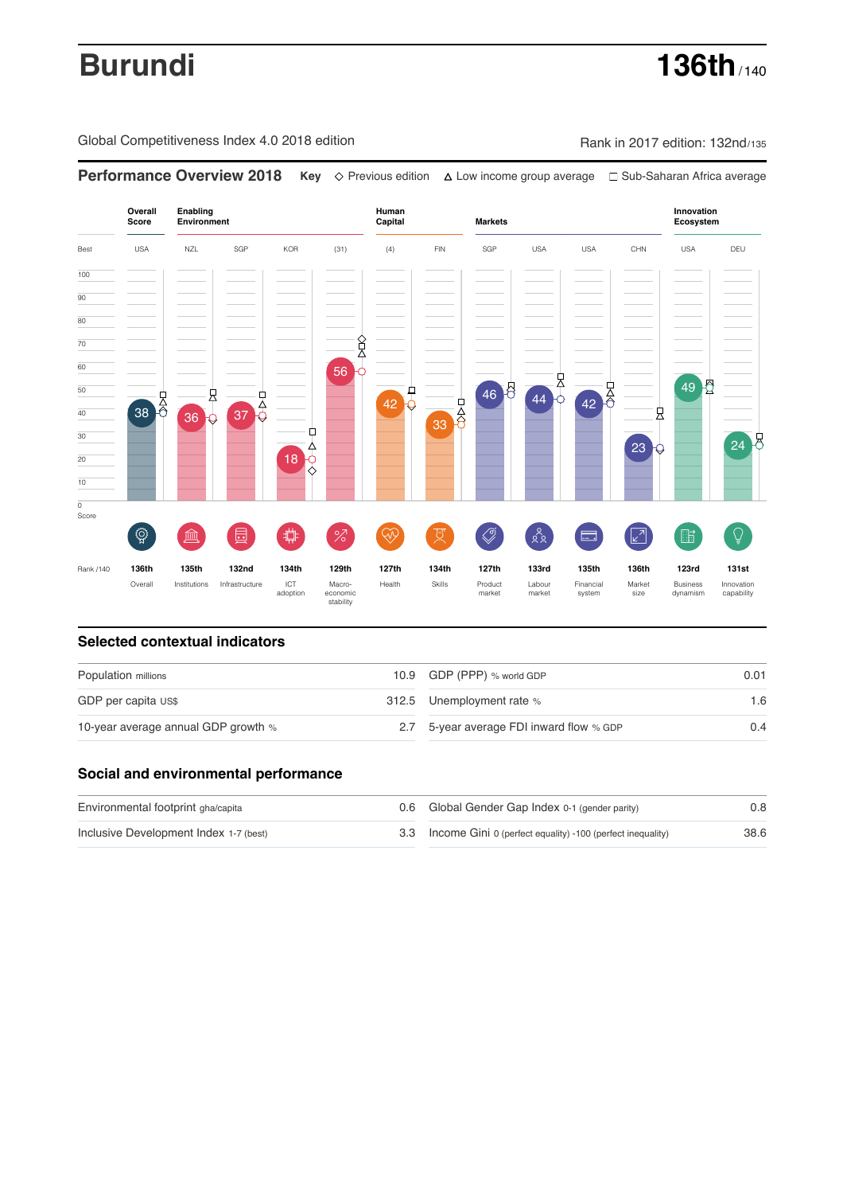# **Burundi 136th** / 140

Global Competitiveness Index 4.0 2018 edition Rank in 2017 edition: 132nd/135

**Overall Innovation Enabling Environment Human Capital Markets Score Ecosystem** Best USA NZL SGP KOR (31) (4) FIN SGP USA USA CHN USA DEU 100  $\overline{90}$ 80 70 8<br>R 60 56  $46$   $8$   $44$   $0$   $42$   $0$ 49 2 50  $\overline{42}$   $\overline{6}$ 县  $\frac{1}{38}$   $\frac{1}{6}$   $\frac{1}{36}$   $\frac{1}{9}$   $\frac{1}{37}$   $\frac{1}{9}$  $\frac{1}{33}$ 40 良 Ò 30 24 8 ∆ 23 20 18 10  $\overline{\text{o}}$ Score ៍{៌្ម}  $\bigotimes$  $28$ **ledge (** 茴 ਸ਼ੁ 击  $\sqrt{2}$ 酯 Q 局  $\frac{0}{2}$ 渝 Rank /140 **136th 135th 132nd 134th 129th 127th 134th 127th 133rd 135th 136th 123rd 131st** Overall Institutions Infrastructure ICT<br>adoption adoption Macro- economic stability Health Skills Product market Labour<br>market Financial system Market size Business dynamism Innovation capability

**Performance Overview 2018 Key** Previous edition Low income group average Sub-Saharan Africa average

### **Selected contextual indicators**

| Population millions |  | 0.01                                                                                                |  |
|---------------------|--|-----------------------------------------------------------------------------------------------------|--|
|                     |  | 1.6                                                                                                 |  |
|                     |  | 0.4                                                                                                 |  |
|                     |  | 10.9 GDP (PPP) % world GDP<br>312.5 Unemployment rate %<br>2.7 5-year average FDI inward flow % GDP |  |

### **Social and environmental performance**

| Environmental footprint gha/capita     | 0.6 Global Gender Gap Index 0-1 (gender parity)                | 0.8  |
|----------------------------------------|----------------------------------------------------------------|------|
| Inclusive Development Index 1-7 (best) | 3.3 Income Gini 0 (perfect equality) -100 (perfect inequality) | 38.6 |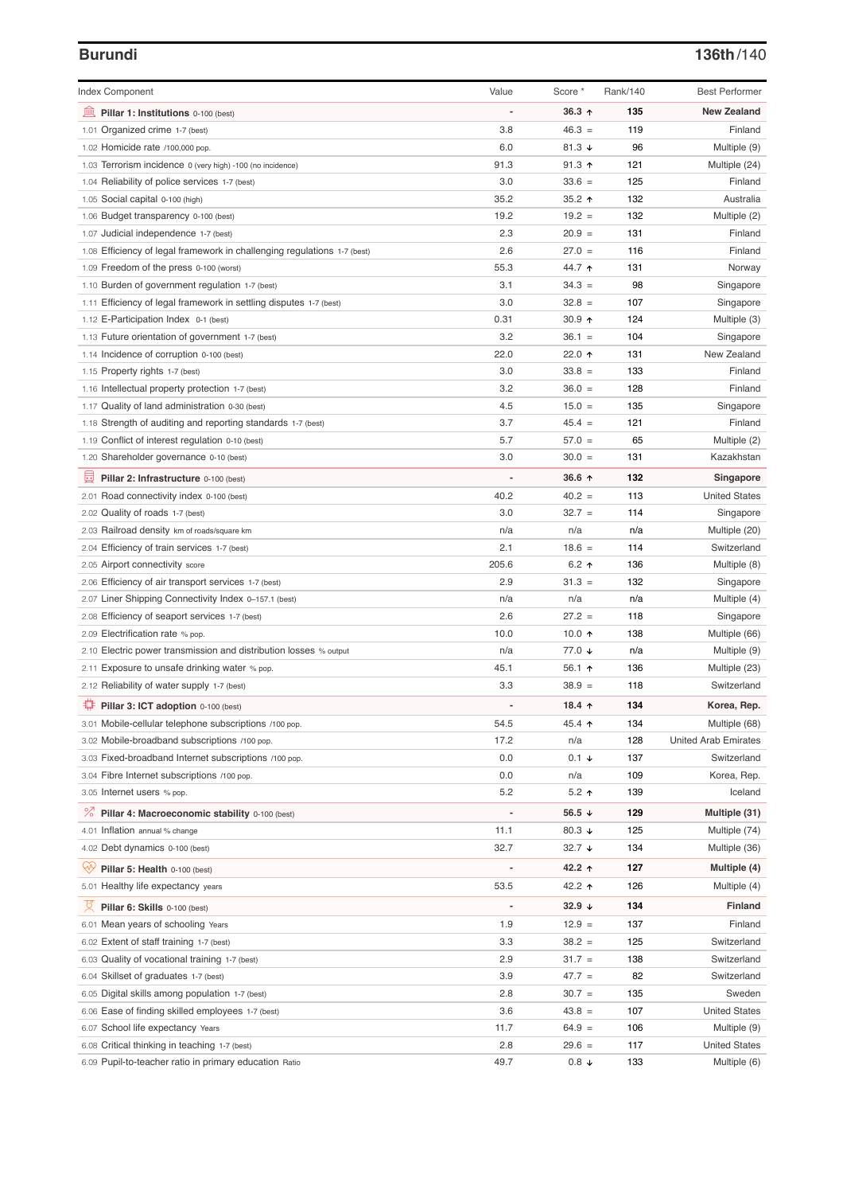# **Burundi 136th**/140

| <b>Index Component</b>                                                                   | Value       | Score *              | Rank/140 | <b>Best Performer</b>       |
|------------------------------------------------------------------------------------------|-------------|----------------------|----------|-----------------------------|
| 無<br>Pillar 1: Institutions 0-100 (best)                                                 |             | $36.3$ ^             | 135      | <b>New Zealand</b>          |
| 1.01 Organized crime 1-7 (best)                                                          | 3.8         | $46.3 =$             | 119      | Finland                     |
| 1.02 Homicide rate /100,000 pop.                                                         | 6.0         | 81.3 $\sqrt{ }$      | 96       | Multiple (9)                |
| 1.03 Terrorism incidence 0 (very high) -100 (no incidence)                               | 91.3        | $91.3$ ↑             | 121      | Multiple (24)               |
| 1.04 Reliability of police services 1-7 (best)                                           | 3.0         | $33.6 =$             | 125      | Finland                     |
| 1.05 Social capital 0-100 (high)                                                         | 35.2        | 35.2 $\uparrow$      | 132      | Australia                   |
| 1.06 Budget transparency 0-100 (best)                                                    | 19.2        | $19.2 =$             | 132      | Multiple (2)                |
| 1.07 Judicial independence 1-7 (best)                                                    | 2.3         | $20.9 =$             | 131      | Finland                     |
| 1.08 Efficiency of legal framework in challenging regulations 1-7 (best)                 | 2.6         | $27.0 =$             | 116      | Finland                     |
| 1.09 Freedom of the press 0-100 (worst)                                                  | 55.3        | 44.7 ↑               | 131      | Norway                      |
| 1.10 Burden of government regulation 1-7 (best)                                          | 3.1         | $34.3 =$             | 98       | Singapore                   |
| 1.11 Efficiency of legal framework in settling disputes 1-7 (best)                       | 3.0         | $32.8 =$             | 107      | Singapore                   |
| 1.12 E-Participation Index 0-1 (best)                                                    | 0.31        | $30.9$ 1             | 124      | Multiple (3)                |
| 1.13 Future orientation of government 1-7 (best)                                         | 3.2         | $36.1 =$             | 104      | Singapore                   |
| 1.14 Incidence of corruption 0-100 (best)                                                | 22.0        | 22.0 $\uparrow$      | 131      | New Zealand                 |
| 1.15 Property rights 1-7 (best)                                                          | 3.0         | $33.8 =$             | 133      | Finland                     |
| 1.16 Intellectual property protection 1-7 (best)                                         | 3.2         | $36.0 =$             | 128      | Finland                     |
| 1.17 Quality of land administration 0-30 (best)                                          | 4.5         | $15.0 =$             | 135      | Singapore                   |
| 1.18 Strength of auditing and reporting standards 1-7 (best)                             | 3.7         | $45.4 =$             | 121      | Finland                     |
| 1.19 Conflict of interest regulation 0-10 (best)                                         | 5.7         | $57.0 =$             | 65       | Multiple (2)                |
| 1.20 Shareholder governance 0-10 (best)                                                  | 3.0         | $30.0 =$             | 131      | Kazakhstan                  |
| 囩                                                                                        |             | 36.6 ↑               | 132      |                             |
| Pillar 2: Infrastructure 0-100 (best)                                                    |             |                      |          | Singapore                   |
| 2.01 Road connectivity index 0-100 (best)                                                | 40.2<br>3.0 | $40.2 =$<br>$32.7 =$ | 113      | <b>United States</b>        |
| 2.02 Quality of roads 1-7 (best)                                                         |             |                      | 114      | Singapore                   |
| 2.03 Railroad density km of roads/square km                                              | n/a         | n/a                  | n/a      | Multiple (20)               |
| 2.04 Efficiency of train services 1-7 (best)                                             | 2.1         | $18.6 =$             | 114      | Switzerland                 |
| 2.05 Airport connectivity score                                                          | 205.6       | 6.2 $\uparrow$       | 136      | Multiple (8)                |
| 2.06 Efficiency of air transport services 1-7 (best)                                     | 2.9         | $31.3 =$             | 132      | Singapore                   |
| 2.07 Liner Shipping Connectivity Index 0-157.1 (best)                                    | n/a         | n/a                  | n/a      | Multiple (4)                |
| 2.08 Efficiency of seaport services 1-7 (best)                                           | 2.6         | $27.2 =$             | 118      | Singapore                   |
| 2.09 Electrification rate % pop.                                                         | 10.0        | 10.0 $\uparrow$      | 138      | Multiple (66)               |
| 2.10 Electric power transmission and distribution losses % output                        | n/a         | 77.0 ↓               | n/a      | Multiple (9)                |
| 2.11 Exposure to unsafe drinking water % pop.                                            | 45.1        | 56.1 $\uparrow$      | 136      | Multiple (23)               |
| 2.12 Reliability of water supply 1-7 (best)                                              | 3.3         | $38.9 =$             | 118      | Switzerland                 |
| ₽<br>Pillar 3: ICT adoption 0-100 (best)                                                 |             | 18.4 $\uparrow$      | 134      | Korea, Rep.                 |
| 3.01 Mobile-cellular telephone subscriptions /100 pop.                                   | 54.5        | 45.4 ↑               | 134      | Multiple (68)               |
| 3.02 Mobile-broadband subscriptions /100 pop.                                            | 17.2        | n/a                  | 128      | <b>United Arab Emirates</b> |
| 3.03 Fixed-broadband Internet subscriptions /100 pop.                                    | 0.0         | $0.1 +$              | 137      | Switzerland                 |
| 3.04 Fibre Internet subscriptions /100 pop.                                              | 0.0         | n/a                  | 109      | Korea, Rep.                 |
| 3.05 Internet users % pop.                                                               | 5.2         | $5.2$ ↑              | 139      | Iceland                     |
| <sup>%</sup> Pillar 4: Macroeconomic stability 0-100 (best)                              |             | 56.5 $\sqrt{ }$      | 129      | Multiple (31)               |
| 4.01 Inflation annual % change                                                           | 11.1        | 80.3 $\sqrt{ }$      | 125      | Multiple (74)               |
| 4.02 Debt dynamics 0-100 (best)                                                          | 32.7        | $32.7 +$             | 134      | Multiple (36)               |
| ųÿ<br>Pillar 5: Health 0-100 (best)                                                      |             | 42.2 ↑               | 127      | Multiple (4)                |
| 5.01 Healthy life expectancy years                                                       | 53.5        | 42.2 ↑               | 126      | Multiple (4)                |
| 섯<br>Pillar 6: Skills 0-100 (best)                                                       |             | 32.9 $\sqrt{ }$      | 134      | <b>Finland</b>              |
| 6.01 Mean years of schooling Years                                                       | 1.9         | $12.9 =$             | 137      | Finland                     |
| 6.02 Extent of staff training 1-7 (best)                                                 | 3.3         | $38.2 =$             | 125      | Switzerland                 |
| 6.03 Quality of vocational training 1-7 (best)                                           | 2.9         | $31.7 =$             | 138      | Switzerland                 |
|                                                                                          | 3.9         | $47.7 =$             | 82       | Switzerland                 |
| 6.04 Skillset of graduates 1-7 (best)<br>6.05 Digital skills among population 1-7 (best) | 2.8         | $30.7 =$             | 135      | Sweden                      |
| Ease of finding skilled employees 1-7 (best)<br>6.06                                     | 3.6         | $43.8 =$             | 107      | <b>United States</b>        |
| School life expectancy Years<br>6.07                                                     | 11.7        | $64.9 =$             | 106      | Multiple (9)                |
| 6.08 Critical thinking in teaching 1-7 (best)                                            | 2.8         | $29.6 =$             | 117      | <b>United States</b>        |
|                                                                                          | 49.7        | $0.8 +$              | 133      |                             |
| 6.09 Pupil-to-teacher ratio in primary education Ratio                                   |             |                      |          | Multiple (6)                |